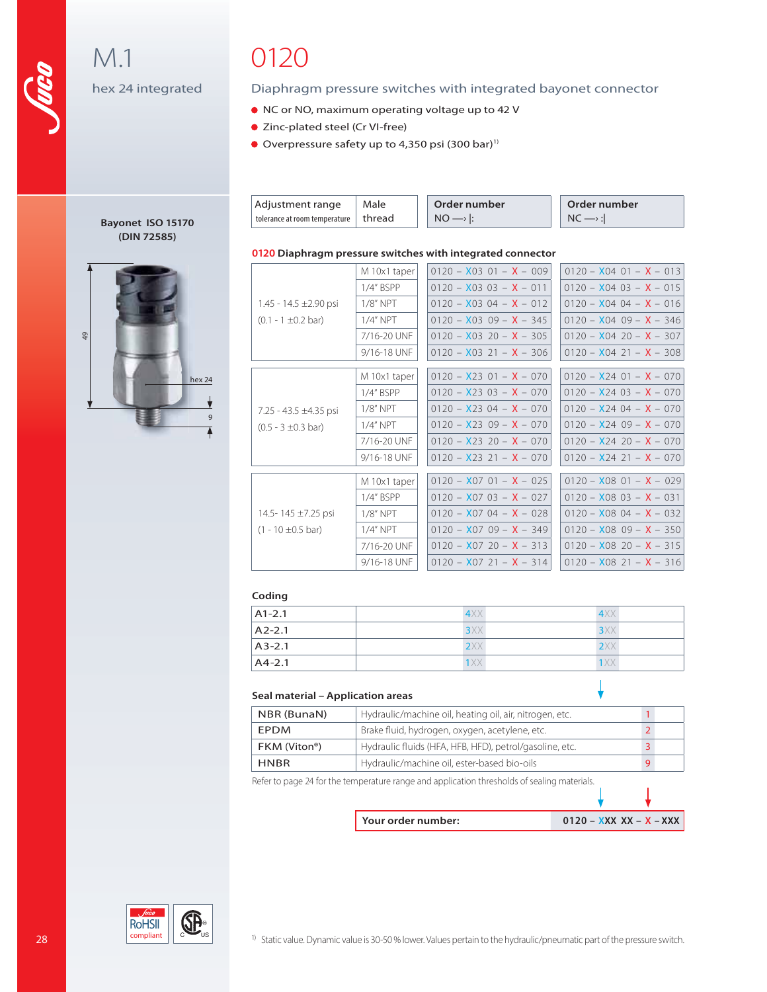M.1 hex 24 integrated

> **Bayonet ISO 15170 (DIN 72585)**

> > hex 24

 $\overline{\mathbf{v}}$ 9

▲

49

# 0120

### Diaphragm pressure switches with integrated bayonet connector

- NC or NO, maximum operating voltage up to 42 V
- Zinc-plated steel (Cr VI-free)
- Overpressure safety up to 4,350 psi  $(300 \text{ bar})^1$

| Adjustment range                       | Male | Order number         | Order number         |
|----------------------------------------|------|----------------------|----------------------|
| tolerance at room temperature   thread |      | $NO \longrightarrow$ | $NC \longrightarrow$ |

### **0120 Diaphragm pressure switches with integrated connector**

|                                 | M 10x1 taper | $0120 - X0301 - X - 009$    | $0120 - X04$ 01 - $X - 013$      |
|---------------------------------|--------------|-----------------------------|----------------------------------|
|                                 | 1/4" BSPP    | $0120 - X0303 - X - 011$    | $0120 - X0403 - X - 015$         |
| 1.45 - 14.5 $\pm$ 2.90 psi      | $1/8"$ NPT   | $0120 - X0304 - X - 012$    | $0120 - X0404 - X - 016$         |
| $(0.1 - 1 \pm 0.2 \text{ bar})$ | $1/4"$ NPT   | $0120 - X0309 - X - 345$    | $0120 - X0409 - X - 346$         |
|                                 | 7/16-20 UNF  | $0120 - X0320 - X - 305$    | $0120 - X04$ 20 - $X - 307$      |
|                                 | 9/16-18 UNF  | $0120 - X0321 - X - 306$    | $0120 - X04$ 21 - $X - 308$      |
|                                 |              |                             |                                  |
|                                 | M 10x1 taper | $0120 - X23$ 01 - $X - 070$ | $0120 - X2401 - X - 070$         |
|                                 | $1/4$ " BSPP | $0120 - X2303 - X - 070$    | $0120 - X2403 - X - 070$         |
| 7.25 - 43.5 $\pm$ 4.35 psi      | $1/8"$ NPT   | $0120 - X2304 - X - 070$    | $0120 - X2404 - X - 070$         |
| $(0.5 - 3 \pm 0.3$ bar)         | $1/4"$ NPT   | $0120 - X2309 - X - 070$    | $0120 - X2409 - X - 070$         |
|                                 | 7/16-20 UNF  | $0120 - X2320 - X - 070$    | $0120 - X2420 - X - 070$         |
|                                 | 9/16-18 UNF  | $0120 - X23$ 21 - $X - 070$ | $0120 - X24$ 21 - $X - 070$      |
|                                 |              |                             |                                  |
|                                 | M 10x1 taper | $0120 - X0701 - X - 025$    | $0120 - X08$ 01 - $X - 029$      |
|                                 | 1/4" BSPP    | $0120 - X0703 - X - 027$    | $0120 - X0803 - X - 031$         |
| 14.5-145 ±7.25 psi              | $1/8"$ NPT   | $0120 - X0704 - X - 028$    | $0120 - X0804 - X - 032$         |
| $(1 - 10 \pm 0.5$ bar)          | $1/4"$ NPT   | $0120 - X0709 - X - 349$    | $0120 - X0809 - X - 350$         |
|                                 | 7/16-20 UNF  | $0120 - X0720 - X - 313$    | $0120 - X08$ 20 - X - 315        |
|                                 | 9/16-18 UNF  | $0120 - X07$ 21 - $X - 314$ | $0120 - X08$ 21 - <b>X</b> - 316 |
|                                 |              |                             |                                  |

### **Coding**

| $A1-2.1$ | 4XX | 4XX |  |
|----------|-----|-----|--|
| $A2-2.1$ | 3XX | 3XX |  |
| $A3-2.1$ | 2XX | 2XX |  |
| $AA-2.1$ | 1XX | 1XX |  |

### **Seal material – Application areas**

| NBR (BunaN)  | Hydraulic/machine oil, heating oil, air, nitrogen, etc. |  |  |  |
|--------------|---------------------------------------------------------|--|--|--|
| <b>FPDM</b>  | Brake fluid, hydrogen, oxygen, acetylene, etc.          |  |  |  |
| FKM (Viton®) | Hydraulic fluids (HFA, HFB, HFD), petrol/gasoline, etc. |  |  |  |
| <b>HNBR</b>  | Hydraulic/machine oil, ester-based bio-oils             |  |  |  |
| .            |                                                         |  |  |  |

Refer to page 24 for the temperature range and application thresholds of sealing materials.

| Your order number: | $0120 - XXX XX - X - XXX$ |
|--------------------|---------------------------|

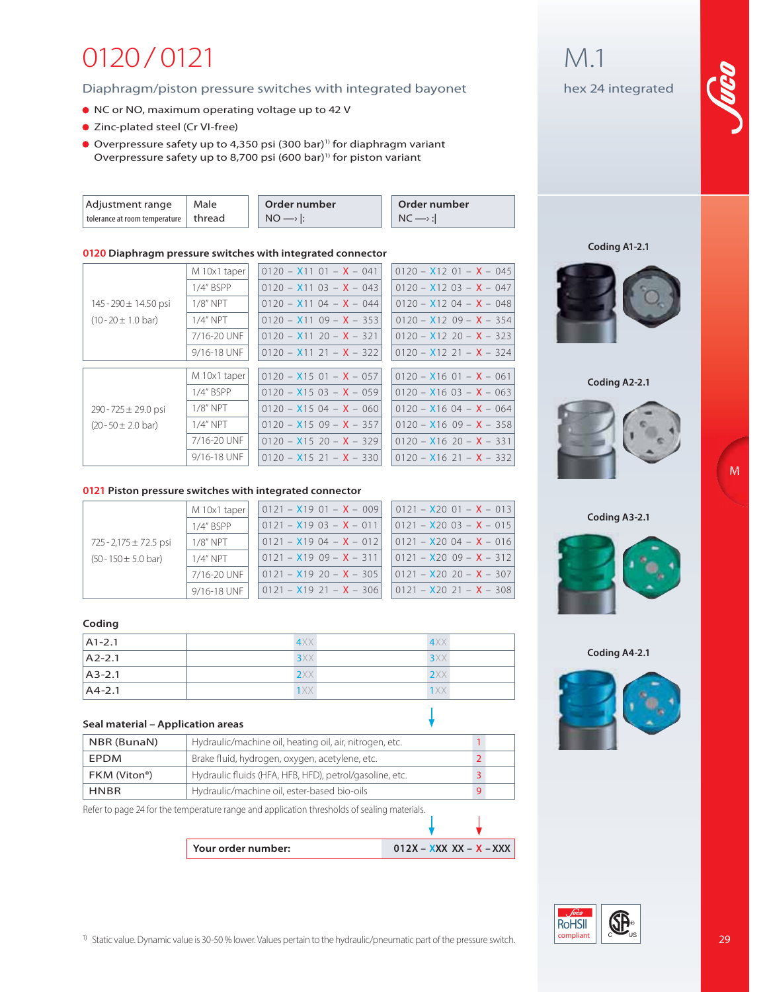# 0120 / 0121

### Diaphragm/piston pressure switches with integrated bayonet

- NC or NO, maximum operating voltage up to 42 V
- Zinc-plated steel (Cr VI-free)
- Overpressure safety up to 4,350 psi (300 bar)<sup>1)</sup> for diaphragm variant Overpressure safety up to 8,700 psi (600 bar)<sup>1)</sup> for piston variant

| Adjustment range              | Male     | Order number | Order number |
|-------------------------------|----------|--------------|--------------|
| tolerance at room temperature | l thread | <b>NO</b>    |              |

### **0120 Diaphragm pressure switches with integrated connector**

|                                 | M 10x1 taper | $0120 - X1101 - X - 041$ | $0120 - X1201 - X - 045$ |
|---------------------------------|--------------|--------------------------|--------------------------|
|                                 | 1/4" BSPP    | $0120 - X1103 - X - 043$ | $0120 - X1203 - X - 047$ |
| $145 - 290 \pm 14.50$ psi       | $1/8"$ NPT   | $0120 - X1104 - X - 044$ | $0120 - X1204 - X - 048$ |
| $(10 - 20 \pm 1.0 \text{ bar})$ | $1/4"$ NPT   | $0120 - X1109 - X - 353$ | $0120 - X1209 - X - 354$ |
|                                 | 7/16-20 UNF  | $0120 - X1120 - X - 321$ | $0120 - X1220 - X - 323$ |
|                                 | 9/16-18 UNF  | $0120 - X1121 - X - 322$ | $0120 - X1221 - X - 324$ |
|                                 |              |                          |                          |
|                                 | M 10x1 taper | $0120 - X1501 - X - 057$ | $0120 - X1601 - X - 061$ |
|                                 | 1/4" BSPP    | $0120 - X1503 - X - 059$ | $0120 - X1603 - X - 063$ |
| $290 - 725 \pm 29.0$ psi        | $1/8"$ NPT   | $0120 - X1504 - X - 060$ | $0120 - X1604 - X - 064$ |
| $(20 - 50 \pm 2.0 \text{ bar})$ | $1/4"$ NPT   | $0120 - X1509 - X - 357$ | $0120 - X1609 - X - 358$ |
|                                 | 7/16-20 UNF  | $0120 - X1520 - X - 329$ | $0120 - X1620 - X - 331$ |
|                                 | 9/16-18 UNF  | $0120 - X1521 - X - 330$ | $0120 - X1621 - X - 332$ |
|                                 |              |                          |                          |

### **0121 Piston pressure switches with integrated connector**

|                                  | M 10x1 taper                             | $0121 - X1901 - X - 009$<br>$0121 - X1904 - X - 012$ | $0121 - X20$ $01 - X - 013$ |                             |
|----------------------------------|------------------------------------------|------------------------------------------------------|-----------------------------|-----------------------------|
|                                  | $0121 - X1903 - X - 011$<br>$1/4"$ BSPP  |                                                      | $0121 - X2003 - X - 015$    |                             |
| $725 - 2,175 \pm 72.5$ psi       | $1/8"$ NPT                               |                                                      |                             | $0121 - X2004 - X - 016$    |
| $(50 - 150 \pm 5.0 \text{ bar})$ | 1/4" NPT                                 | 0121 - <b>X</b> 19 09 - <b>X</b> - 311               |                             | $0121 - X2009 - X - 312$    |
|                                  | $10121 - X1920 - X - 305$<br>7/16-20 UNF |                                                      | $0121 - X20$ 20 - $X - 307$ |                             |
|                                  | 9/16-18 UNF                              | 0121 - <b>X</b> 19 21 - <b>X</b> - 306               |                             | $0121 - X20$ 21 - $X - 308$ |

### **Coding**

| $A1-2.1$ | 4XX        | 4XX |  |
|----------|------------|-----|--|
| $A2-2.1$ | 3XX        | 3XX |  |
| $A3-2.1$ | 2XX        | 2XX |  |
| $AA-2.1$ | <b>1XX</b> | 1XX |  |

#### **Seal material – Application areas**

| Hydraulic/machine oil, heating oil, air, nitrogen, etc.<br>NBR (BunaN) |                                                         |  |
|------------------------------------------------------------------------|---------------------------------------------------------|--|
| <b>EPDM</b>                                                            | Brake fluid, hydrogen, oxygen, acetylene, etc.          |  |
| FKM (Viton®)                                                           | Hydraulic fluids (HFA, HFB, HFD), petrol/gasoline, etc. |  |
| <b>HNBR</b>                                                            | Hydraulic/machine oil, ester-based bio-oils             |  |

Refer to page 24 for the temperature range and application thresholds of sealing materials.

**Your order number: 012X – XXX XX – X – XXX** 

## M.1

hex 24 integrated



**Coding A1-2.1**



**Coding A2-2.1**



**M**

### **Coding A3-2.1**



**Coding A4-2.1**



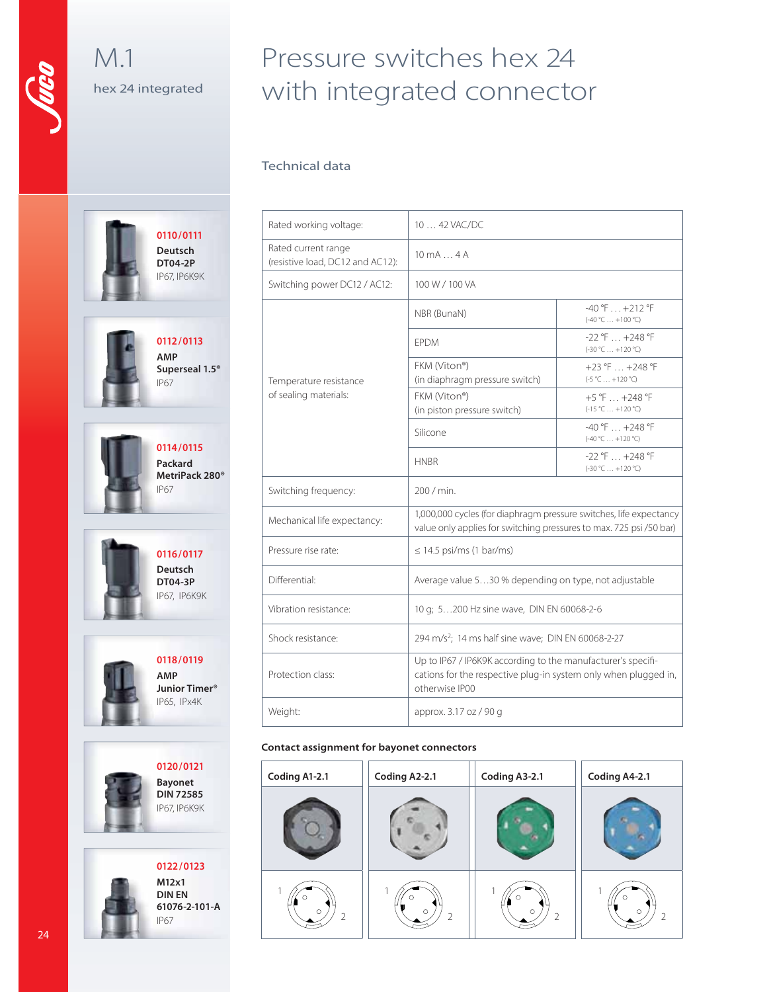## M.1 hex 24 integrated

# Pressure switches hex 24 with integrated connector

### Technical data

| Rated working voltage:                                  | 10  42 VAC/DC                                                                                                                                     |                                                  |  |
|---------------------------------------------------------|---------------------------------------------------------------------------------------------------------------------------------------------------|--------------------------------------------------|--|
| Rated current range<br>(resistive load, DC12 and AC12): | $10 \text{ mA} \dots 4 \text{ A}$                                                                                                                 |                                                  |  |
| Switching power DC12 / AC12:                            | 100 W / 100 VA                                                                                                                                    |                                                  |  |
|                                                         | NBR (BunaN)                                                                                                                                       | $-40$ °F $\dots$ +212 °F<br>$(-40 °C  +100 °C)$  |  |
|                                                         | <b>FPDM</b>                                                                                                                                       | $-22$ °F $\dots$ +248 °F<br>$(-30 °C  +120 °C)$  |  |
| Temperature resistance                                  | FKM (Viton®)<br>(in diaphragm pressure switch)                                                                                                    | +23 °F $\dots$ +248 °F<br>$(-5 °C  +120 °C)$     |  |
| of sealing materials:                                   | FKM (Viton®)<br>(in piston pressure switch)                                                                                                       | $+5$ °F $\dots$ +248 °F<br>$(-15 °C  +120 °C)$   |  |
|                                                         | Silicone                                                                                                                                          | $-40$ °F $\ldots$ +248 °F<br>$(-40 °C  +120 °C)$ |  |
|                                                         | <b>HNBR</b>                                                                                                                                       | $-22$ °F $ + 248$ °F<br>$(-30 °C  +120 °C)$      |  |
| Switching frequency:                                    | 200 / min.                                                                                                                                        |                                                  |  |
| Mechanical life expectancy:                             | 1,000,000 cycles (for diaphragm pressure switches, life expectancy<br>value only applies for switching pressures to max. 725 psi /50 bar)         |                                                  |  |
| Pressure rise rate:                                     | $\leq$ 14.5 psi/ms (1 bar/ms)                                                                                                                     |                                                  |  |
| Differential:                                           | Average value 530 % depending on type, not adjustable                                                                                             |                                                  |  |
| Vibration resistance:                                   | 10 g; 5200 Hz sine wave, DIN EN 60068-2-6                                                                                                         |                                                  |  |
| Shock resistance:                                       | 294 m/s <sup>2</sup> ; 14 ms half sine wave; DIN EN 60068-2-27                                                                                    |                                                  |  |
| Protection class:                                       | Up to IP67 / IP6K9K according to the manufacturer's specifi-<br>cations for the respective plug-in system only when plugged in,<br>otherwise IP00 |                                                  |  |
| Weight:                                                 | approx. 3.17 oz / 90 g                                                                                                                            |                                                  |  |

### **Contact assignment for bayonet connectors**

| Coding A1-2.1 | Coding A2-2.1 | Coding A3-2.1 | Coding A4-2.1 |
|---------------|---------------|---------------|---------------|
|               |               |               |               |
| $\circ$       | $\circ$       | О<br>$\circ$  | $\circ$       |

**0116/0117 Deutsch DT04-3P** IP67, IP6K9K

**0110/0111 Deutsch DT04-2P** IP67, IP6K9K

**0112 /0113 AMP**

**0114/0115 Packard MetriPack 280®**

IP67

IP67

**Superseal 1.5®**



**0118/0119 AMP Junior Timer®** IP65, IPx4K





**M12x1 DIN EN 61076-2-101-A** IP67

**0122 /0123**

24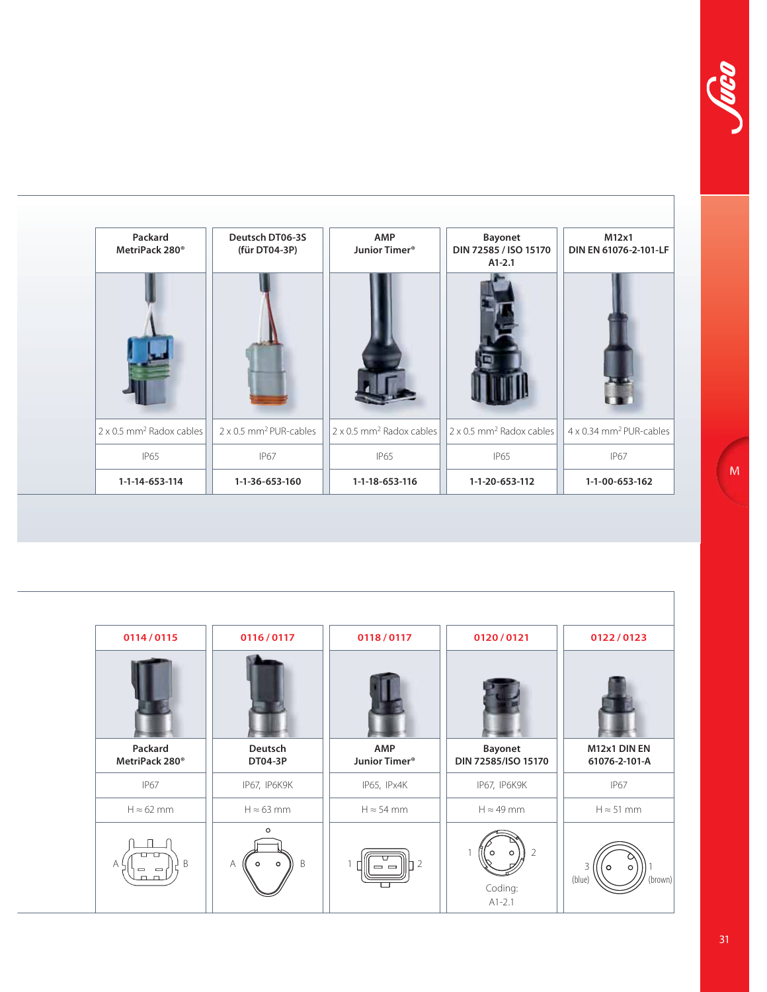| Packard<br>MetriPack 280 <sup>®</sup>       | Deutsch DT06-3S<br>(für DT04-3P)          | AMP<br>Junior Timer <sup>®</sup>     | <b>Bayonet</b><br>DIN 72585 / ISO 15170 | M12x1<br>DIN EN 61076-2-101-LF             |
|---------------------------------------------|-------------------------------------------|--------------------------------------|-----------------------------------------|--------------------------------------------|
|                                             |                                           |                                      | $A1-2.1$                                |                                            |
|                                             |                                           |                                      |                                         |                                            |
| $2 \times 0.5$ mm <sup>2</sup> Radox cables | $2 \times 0.5$ mm <sup>2</sup> PUR-cables | 2 x 0.5 mm <sup>2</sup> Radox cables | 2 x 0.5 mm <sup>2</sup> Radox cables    | $4 \times 0.34$ mm <sup>2</sup> PUR-cables |
| <b>IP65</b>                                 | <b>IP67</b>                               | <b>IP65</b>                          | <b>IP65</b>                             | <b>IP67</b>                                |
| 1-1-14-653-114                              | 1-1-36-653-160                            | 1-1-18-653-116                       | 1-1-20-653-112                          | 1-1-00-653-162                             |

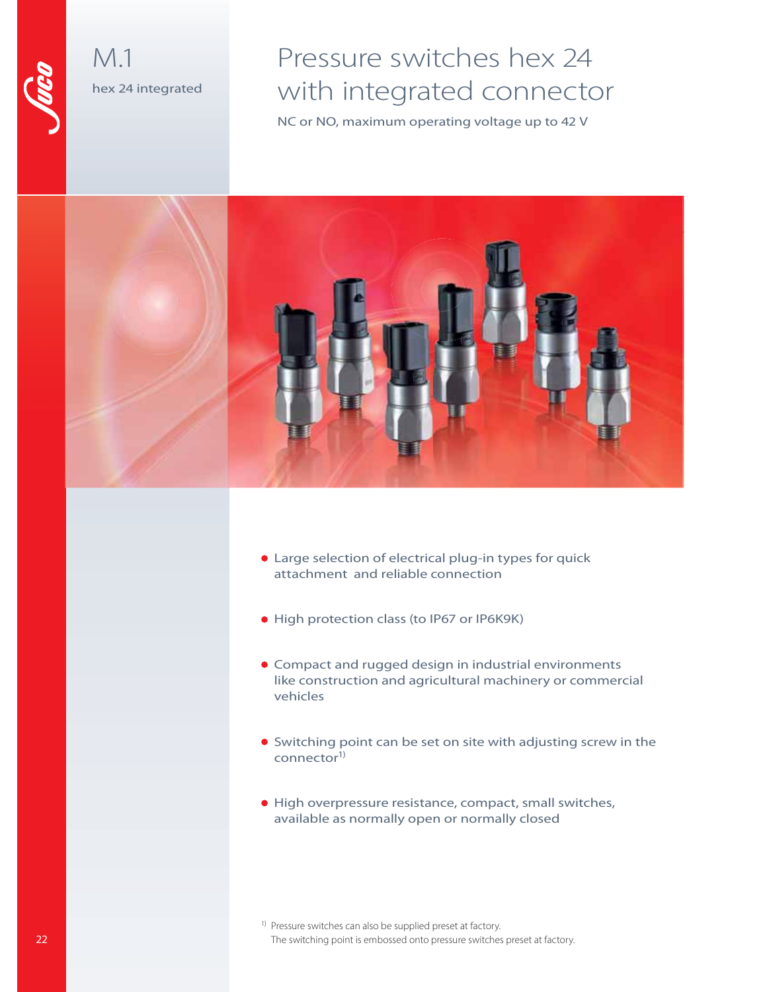

## M.1 hex 24 integrated

# Pressure switches hex 24 with integrated connector

NC or NO, maximum operating voltage up to 42 V



- Large selection of electrical plug-in types for quick attachment and reliable connection
- High protection class (to IP67 or IP6K9K)
- Compact and rugged design in industrial environments like construction and agricultural machinery or commercial vehicles
- Switching point can be set on site with adjusting screw in the connector<sup>1)</sup>
- High overpressure resistance, compact, small switches, available as normally open or normally closed